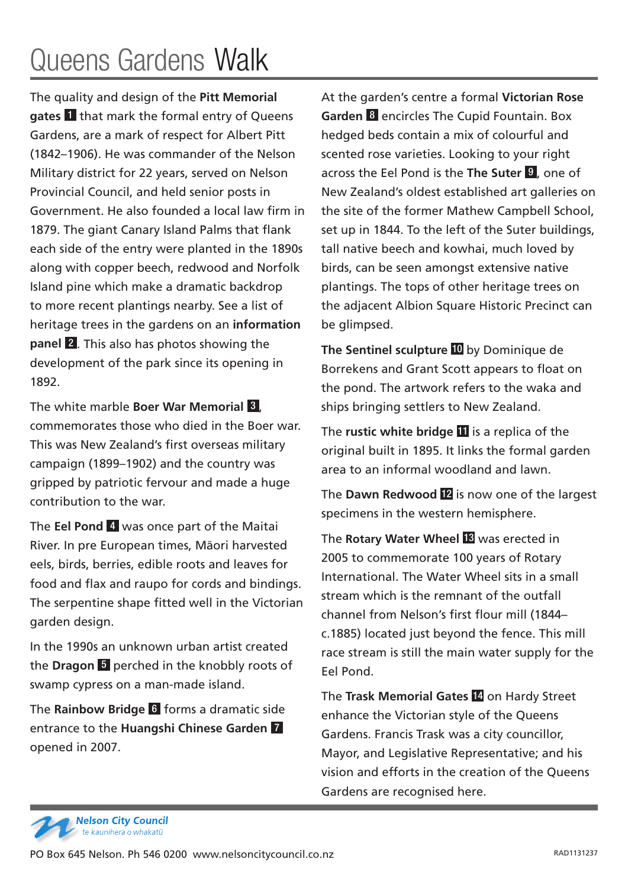## Queens Gardens Walk

The quality and design of the **Pitt Memorial gates** 1 that mark the formal entry of Queens Gardens, are a mark of respect for Albert Pitt (1842–1906). He was commander of the Nelson Military district for 22 years, served on Nelson Provincial Council, and held senior posts in Government. He also founded a local law firm in 1879. The giant Canary Island Palms that flank each side of the entry were planted in the 1890s along with copper beech, redwood and Norfolk Island pine which make a dramatic backdrop to more recent plantings nearby. See a list of heritage trees in the gardens on an **information panel** 2 . This also has photos showing the development of the park since its opening in 1892.

The white marble **Boer War Memorial** 3 , commemorates those who died in the Boer war. This was New Zealand's first overseas military campaign (1899–1902) and the country was gripped by patriotic fervour and made a huge contribution to the war.

The **Eel Pond** 4 was once part of the Maitai River. In pre European times, Māori harvested eels, birds, berries, edible roots and leaves for food and flax and raupo for cords and bindings. The serpentine shape fitted well in the Victorian garden design.

In the 1990s an unknown urban artist created the **Dragon** 5 perched in the knobbly roots of swamp cypress on a man-made island.

The **Rainbow Bridge** 6 forms a dramatic side entrance to the **Huangshi Chinese Garden** 7 opened in 2007.

At the garden's centre a formal **Victorian Rose Garden** 8 encircles The Cupid Fountain. Box hedged beds contain a mix of colourful and scented rose varieties. Looking to your right across the Eel Pond is the **The Suter** 9 , one of New Zealand's oldest established art galleries on the site of the former Mathew Campbell School, set up in 1844. To the left of the Suter buildings, tall native beech and kowhai, much loved by birds, can be seen amongst extensive native plantings. The tops of other heritage trees on the adjacent Albion Square Historic Precinct can be glimpsed.

**The Sentinel sculpture** 10 by Dominique de Borrekens and Grant Scott appears to float on the pond. The artwork refers to the waka and ships bringing settlers to New Zealand.

The **rustic white bridge II** is a replica of the original built in 1895. It links the formal garden area to an informal woodland and lawn.

The **Dawn Redwood** 12 is now one of the largest specimens in the western hemisphere.

The **Rotary Water Wheel** 13 was erected in 2005 to commemorate 100 years of Rotary International. The Water Wheel sits in a small stream which is the remnant of the outfall channel from Nelson's first flour mill (1844– c.1885) located just beyond the fence. This mill race stream is still the main water supply for the Eel Pond.

The **Trask Memorial Gates** 14 on Hardy Street enhance the Victorian style of the Queens Gardens. Francis Trask was a city councillor, Mayor, and Legislative Representative; and his vision and efforts in the creation of the Queens Gardens are recognised here.